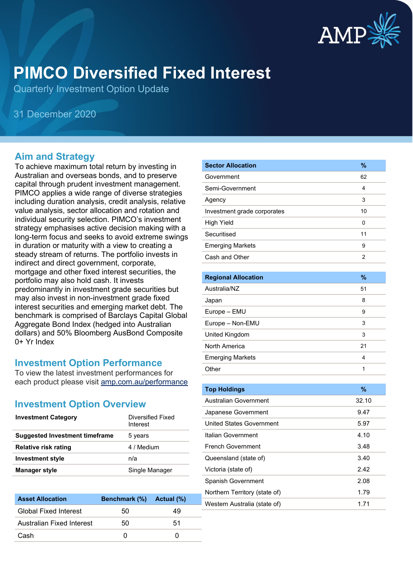

# **PIMCO Diversified Fixed Interest**

Quarterly Investment Option Update

31 December 2020

#### **Aim and Strategy**

To achieve maximum total return by investing in Australian and overseas bonds, and to preserve capital through prudent investment management. PIMCO applies a wide range of diverse strategies including duration analysis, credit analysis, relative value analysis, sector allocation and rotation and individual security selection. PIMCO's investment strategy emphasises active decision making with a long-term focus and seeks to avoid extreme swings in duration or maturity with a view to creating a steady stream of returns. The portfolio invests in indirect and direct government, corporate, mortgage and other fixed interest securities, the portfolio may also hold cash. It invests predominantly in investment grade securities but may also invest in non-investment grade fixed interest securities and emerging market debt. The benchmark is comprised of Barclays Capital Global Aggregate Bond Index (hedged into Australian dollars) and 50% Bloomberg AusBond Composite 0+ Yr Index

#### **Investment Option Performance**

To view the latest investment performances for each product please visit [amp.com.au/performance](https://www.amp.com.au/performance)

#### **Investment Option Overview**

| <b>Investment Category</b>            | Diversified Fixed<br>Interest |
|---------------------------------------|-------------------------------|
| <b>Suggested Investment timeframe</b> | 5 years                       |
| <b>Relative risk rating</b>           | 4 / Medium                    |
| <b>Investment style</b>               | n/a                           |
| <b>Manager style</b>                  | Single Manager                |

| <b>Asset Allocation</b>      | Benchmark (%) Actual (%) |    |
|------------------------------|--------------------------|----|
| <b>Global Fixed Interest</b> | 50                       | 49 |
| Australian Fixed Interest    | 50                       | 51 |
| Cash                         |                          |    |

| <b>Sector Allocation</b>    | %              |
|-----------------------------|----------------|
| Government                  | 62             |
| Semi-Government             | 4              |
| Agency                      | 3              |
| Investment grade corporates | 10             |
| <b>High Yield</b>           | 0              |
| Securitised                 | 11             |
| <b>Emerging Markets</b>     | 9              |
| Cash and Other              | $\overline{2}$ |
|                             |                |
| <b>Regional Allocation</b>  | $\%$           |
| Australia/NZ                | 51             |
| Japan                       | 8              |
| Europe - EMU                | 9              |
| Europe - Non-EMU            | 3              |
| United Kingdom              | 3              |
| North America               | 21             |
| <b>Emerging Markets</b>     | 4              |
| Other                       | 1              |
|                             |                |

| <b>Top Holdings</b>           | $\%$  |
|-------------------------------|-------|
| Australian Government         | 32.10 |
| Japanese Government           | 9.47  |
| United States Government      | 5.97  |
| Italian Government            | 4.10  |
| French Government             | 3.48  |
| Queensland (state of)         | 3.40  |
| Victoria (state of)           | 2.42  |
| <b>Spanish Government</b>     | 2.08  |
| Northern Territory (state of) | 1.79  |
| Western Australia (state of)  | 1.71  |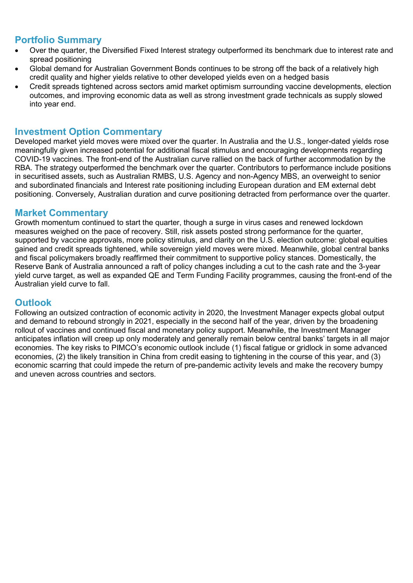### **Portfolio Summary**

- Over the quarter, the Diversified Fixed Interest strategy outperformed its benchmark due to interest rate and spread positioning
- Global demand for Australian Government Bonds continues to be strong off the back of a relatively high credit quality and higher yields relative to other developed yields even on a hedged basis
- Credit spreads tightened across sectors amid market optimism surrounding vaccine developments, election outcomes, and improving economic data as well as strong investment grade technicals as supply slowed into year end.

#### **Investment Option Commentary**

Developed market yield moves were mixed over the quarter. In Australia and the U.S., longer-dated yields rose meaningfully given increased potential for additional fiscal stimulus and encouraging developments regarding COVID-19 vaccines. The front-end of the Australian curve rallied on the back of further accommodation by the RBA. The strategy outperformed the benchmark over the quarter. Contributors to performance include positions in securitised assets, such as Australian RMBS, U.S. Agency and non-Agency MBS, an overweight to senior and subordinated financials and Interest rate positioning including European duration and EM external debt positioning. Conversely, Australian duration and curve positioning detracted from performance over the quarter.

#### **Market Commentary**

Growth momentum continued to start the quarter, though a surge in virus cases and renewed lockdown measures weighed on the pace of recovery. Still, risk assets posted strong performance for the quarter, supported by vaccine approvals, more policy stimulus, and clarity on the U.S. election outcome: global equities gained and credit spreads tightened, while sovereign yield moves were mixed. Meanwhile, global central banks and fiscal policymakers broadly reaffirmed their commitment to supportive policy stances. Domestically, the Reserve Bank of Australia announced a raft of policy changes including a cut to the cash rate and the 3-year yield curve target, as well as expanded QE and Term Funding Facility programmes, causing the front-end of the Australian yield curve to fall.

#### **Outlook**

Following an outsized contraction of economic activity in 2020, the Investment Manager expects global output and demand to rebound strongly in 2021, especially in the second half of the year, driven by the broadening rollout of vaccines and continued fiscal and monetary policy support. Meanwhile, the Investment Manager anticipates inflation will creep up only moderately and generally remain below central banks' targets in all major economies. The key risks to PIMCO's economic outlook include (1) fiscal fatigue or gridlock in some advanced economies, (2) the likely transition in China from credit easing to tightening in the course of this year, and (3) economic scarring that could impede the return of pre-pandemic activity levels and make the recovery bumpy and uneven across countries and sectors.